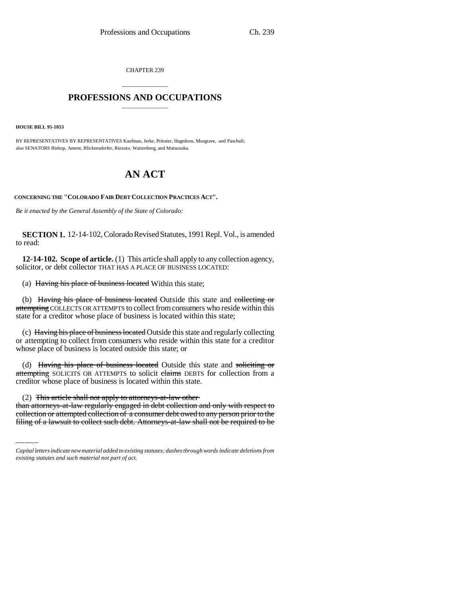CHAPTER 239

# \_\_\_\_\_\_\_\_\_\_\_\_\_\_\_ **PROFESSIONS AND OCCUPATIONS** \_\_\_\_\_\_\_\_\_\_\_\_\_\_\_

**HOUSE BILL 95-1053**

BY REPRESENTATIVES BY REPRESENTATIVES Kaufman, Jerke, Prinster, Hagedorn, Musgrave, and Paschall; also SENATORS Bishop, Ament, Blickensderfer, Rizzuto, Wattenberg, and Matsunaka.

# **AN ACT**

**CONCERNING THE "COLORADO FAIR DEBT COLLECTION PRACTICES ACT".**

*Be it enacted by the General Assembly of the State of Colorado:*

**SECTION 1.** 12-14-102, Colorado Revised Statutes, 1991 Repl. Vol., is amended to read:

**12-14-102. Scope of article.** (1) This article shall apply to any collection agency, solicitor, or debt collector THAT HAS A PLACE OF BUSINESS LOCATED:

(a) Having his place of business located Within this state;

(b) Having his place of business located Outside this state and collecting or attempting COLLECTS OR ATTEMPTS to collect from consumers who reside within this state for a creditor whose place of business is located within this state;

(c) Having his place of business located Outside this state and regularly collecting or attempting to collect from consumers who reside within this state for a creditor whose place of business is located outside this state; or

creditor whose place of business is located within this state. (d) Having his place of business located Outside this state and soliciting or attempting SOLICITS OR ATTEMPTS to solicit claims DEBTS for collection from a

(2) This article shall not apply to attorneys-at-law other

than attorneys-at-law regularly engaged in debt collection and only with respect to collection or attempted collection of a consumer debt owed to any person prior to the filing of a lawsuit to collect such debt. Attorneys-at-law shall not be required to be

*Capital letters indicate new material added to existing statutes; dashes through words indicate deletions from existing statutes and such material not part of act.*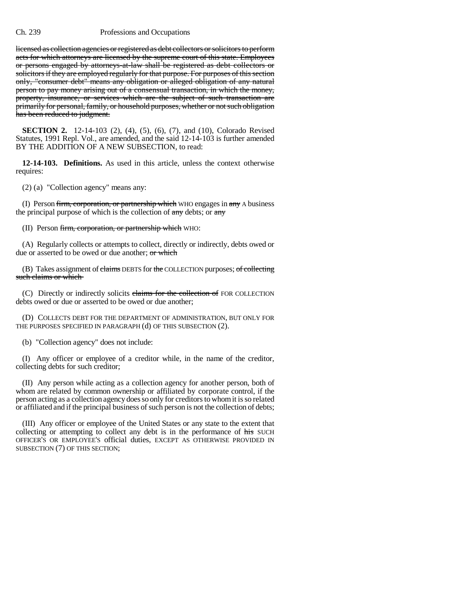licensed as collection agencies or registered as debt collectors or solicitors to perform acts for which attorneys are licensed by the supreme court of this state. Employees or persons engaged by attorneys-at-law shall be registered as debt collectors or solicitors if they are employed regularly for that purpose. For purposes of this section only, "consumer debt" means any obligation or alleged obligation of any natural person to pay money arising out of a consensual transaction, in which the money, property, insurance, or services which are the subject of such transaction are primarily for personal, family, or household purposes, whether or not such obligation has been reduced to judgment.

**SECTION 2.** 12-14-103 (2), (4), (5), (6), (7), and (10), Colorado Revised Statutes, 1991 Repl. Vol., are amended, and the said 12-14-103 is further amended BY THE ADDITION OF A NEW SUBSECTION, to read:

**12-14-103. Definitions.** As used in this article, unless the context otherwise requires:

(2) (a) "Collection agency" means any:

(I) Person firm, corporation, or partnership which WHO engages in any A business the principal purpose of which is the collection of any debts; or any

(II) Person firm, corporation, or partnership which WHO:

(A) Regularly collects or attempts to collect, directly or indirectly, debts owed or due or asserted to be owed or due another; or which

(B) Takes assignment of claims DEBTS for the COLLECTION purposes; of collecting such claims or which

(C) Directly or indirectly solicits claims for the collection of FOR COLLECTION debts owed or due or asserted to be owed or due another;

(D) COLLECTS DEBT FOR THE DEPARTMENT OF ADMINISTRATION, BUT ONLY FOR THE PURPOSES SPECIFIED IN PARAGRAPH (d) OF THIS SUBSECTION (2).

(b) "Collection agency" does not include:

(I) Any officer or employee of a creditor while, in the name of the creditor, collecting debts for such creditor;

(II) Any person while acting as a collection agency for another person, both of whom are related by common ownership or affiliated by corporate control, if the person acting as a collection agency does so only for creditors to whom it is so related or affiliated and if the principal business of such person is not the collection of debts;

(III) Any officer or employee of the United States or any state to the extent that collecting or attempting to collect any debt is in the performance of his SUCH OFFICER'S OR EMPLOYEE'S official duties, EXCEPT AS OTHERWISE PROVIDED IN SUBSECTION (7) OF THIS SECTION;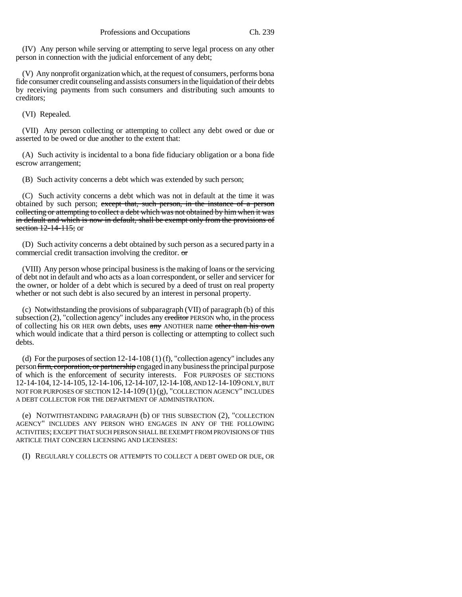(IV) Any person while serving or attempting to serve legal process on any other person in connection with the judicial enforcement of any debt;

(V) Any nonprofit organization which, at the request of consumers, performs bona fide consumer credit counseling and assists consumers in the liquidation of their debts by receiving payments from such consumers and distributing such amounts to creditors;

(VI) Repealed.

(VII) Any person collecting or attempting to collect any debt owed or due or asserted to be owed or due another to the extent that:

(A) Such activity is incidental to a bona fide fiduciary obligation or a bona fide escrow arrangement;

(B) Such activity concerns a debt which was extended by such person;

(C) Such activity concerns a debt which was not in default at the time it was obtained by such person; except that, such person, in the instance of a person collecting or attempting to collect a debt which was not obtained by him when it was in default and which is now in default, shall be exempt only from the provisions of section 12-14-115; or

(D) Such activity concerns a debt obtained by such person as a secured party in a commercial credit transaction involving the creditor. or

(VIII) Any person whose principal business is the making of loans or the servicing of debt not in default and who acts as a loan correspondent, or seller and servicer for the owner, or holder of a debt which is secured by a deed of trust on real property whether or not such debt is also secured by an interest in personal property.

(c) Notwithstanding the provisions of subparagraph (VII) of paragraph (b) of this subsection  $(2)$ , "collection agency" includes any creditor PERSON who, in the process of collecting his OR HER own debts, uses any ANOTHER name other than his own which would indicate that a third person is collecting or attempting to collect such debts.

(d) For the purposes of section 12-14-108 (1) (f), "collection agency" includes any person firm, corporation, or partnership engaged in any business the principal purpose of which is the enforcement of security interests. FOR PURPOSES OF SECTIONS 12-14-104,12-14-105,12-14-106,12-14-107,12-14-108, AND 12-14-109 ONLY, BUT NOT FOR PURPOSES OF SECTION  $12-14-109(1)(g)$ , "COLLECTION AGENCY" INCLUDES A DEBT COLLECTOR FOR THE DEPARTMENT OF ADMINISTRATION.

(e) NOTWITHSTANDING PARAGRAPH (b) OF THIS SUBSECTION (2), "COLLECTION AGENCY" INCLUDES ANY PERSON WHO ENGAGES IN ANY OF THE FOLLOWING ACTIVITIES; EXCEPT THAT SUCH PERSON SHALL BE EXEMPT FROM PROVISIONS OF THIS ARTICLE THAT CONCERN LICENSING AND LICENSEES:

(I) REGULARLY COLLECTS OR ATTEMPTS TO COLLECT A DEBT OWED OR DUE, OR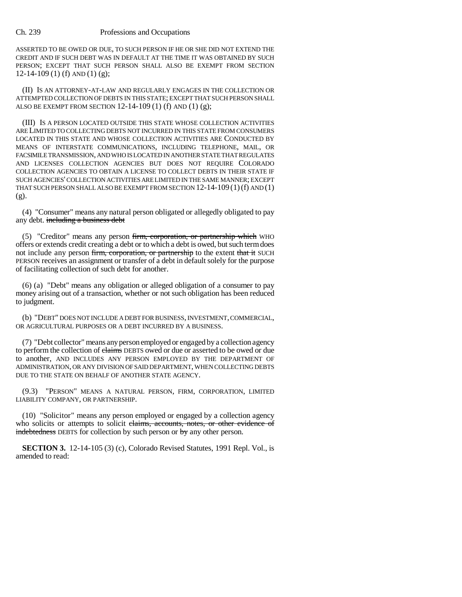ASSERTED TO BE OWED OR DUE, TO SUCH PERSON IF HE OR SHE DID NOT EXTEND THE CREDIT AND IF SUCH DEBT WAS IN DEFAULT AT THE TIME IT WAS OBTAINED BY SUCH PERSON; EXCEPT THAT SUCH PERSON SHALL ALSO BE EXEMPT FROM SECTION 12-14-109 (1) (f) AND (1) (g);

(II) IS AN ATTORNEY-AT-LAW AND REGULARLY ENGAGES IN THE COLLECTION OR ATTEMPTED COLLECTION OF DEBTS IN THIS STATE; EXCEPT THAT SUCH PERSON SHALL ALSO BE EXEMPT FROM SECTION 12-14-109 (1) (f) AND (1) (g);

(III) IS A PERSON LOCATED OUTSIDE THIS STATE WHOSE COLLECTION ACTIVITIES ARE LIMITED TO COLLECTING DEBTS NOT INCURRED IN THIS STATE FROM CONSUMERS LOCATED IN THIS STATE AND WHOSE COLLECTION ACTIVITIES ARE CONDUCTED BY MEANS OF INTERSTATE COMMUNICATIONS, INCLUDING TELEPHONE, MAIL, OR FACSIMILE TRANSMISSION, AND WHO IS LOCATED IN ANOTHER STATE THAT REGULATES AND LICENSES COLLECTION AGENCIES BUT DOES NOT REQUIRE COLORADO COLLECTION AGENCIES TO OBTAIN A LICENSE TO COLLECT DEBTS IN THEIR STATE IF SUCH AGENCIES' COLLECTION ACTIVITIES ARE LIMITED IN THE SAME MANNER; EXCEPT THAT SUCH PERSON SHALL ALSO BE EXEMPT FROM SECTION  $12-14-109(1)$  (f) AND  $(1)$ (g).

(4) "Consumer" means any natural person obligated or allegedly obligated to pay any debt. including a business debt

(5) "Creditor" means any person firm, corporation, or partnership which WHO offers or extends credit creating a debt or to which a debt is owed, but such term does not include any person firm, corporation, or partnership to the extent that it SUCH PERSON receives an assignment or transfer of a debt in default solely for the purpose of facilitating collection of such debt for another.

(6) (a) "Debt" means any obligation or alleged obligation of a consumer to pay money arising out of a transaction, whether or not such obligation has been reduced to judgment.

(b) "DEBT" DOES NOT INCLUDE A DEBT FOR BUSINESS, INVESTMENT, COMMERCIAL, OR AGRICULTURAL PURPOSES OR A DEBT INCURRED BY A BUSINESS.

(7) "Debt collector" means any person employed or engaged by a collection agency to perform the collection of claims DEBTS owed or due or asserted to be owed or due to another, AND INCLUDES ANY PERSON EMPLOYED BY THE DEPARTMENT OF ADMINISTRATION, OR ANY DIVISION OF SAID DEPARTMENT, WHEN COLLECTING DEBTS DUE TO THE STATE ON BEHALF OF ANOTHER STATE AGENCY.

(9.3) "PERSON" MEANS A NATURAL PERSON, FIRM, CORPORATION, LIMITED LIABILITY COMPANY, OR PARTNERSHIP.

(10) "Solicitor" means any person employed or engaged by a collection agency who solicits or attempts to solicit claims, accounts, notes, or other evidence of indebtedness DEBTS for collection by such person or by any other person.

**SECTION 3.** 12-14-105 (3) (c), Colorado Revised Statutes, 1991 Repl. Vol., is amended to read: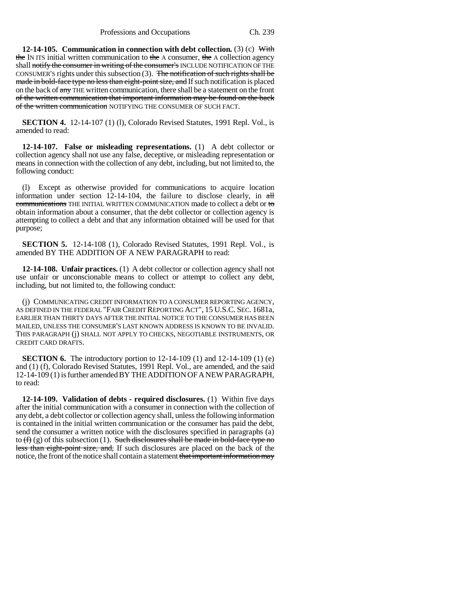Professions and Occupations Ch. 239

**12-14-105. Communication in connection with debt collection.** (3) (c) With the IN ITS initial written communication to the A consumer, the A collection agency shall notify the consumer in writing of the consumer's INCLUDE NOTIFICATION OF THE CONSUMER'S rights under this subsection  $(3)$ . The notification of such rights shall be made in bold-face type no less than eight-point size, and If such notification is placed on the back of any THE written communication, there shall be a statement on the front of the written communication that important information may be found on the back of the written communication NOTIFYING THE CONSUMER OF SUCH FACT.

**SECTION 4.** 12-14-107 (1) (1), Colorado Revised Statutes, 1991 Repl. Vol., is amended to read:

**12-14-107. False or misleading representations.** (1) A debt collector or collection agency shall not use any false, deceptive, or misleading representation or means in connection with the collection of any debt, including, but not limited to, the following conduct:

(l) Except as otherwise provided for communications to acquire location information under section  $12-14-104$ , the failure to disclose clearly, in  $\frac{1}{2}$ communications THE INITIAL WRITTEN COMMUNICATION made to collect a debt or to obtain information about a consumer, that the debt collector or collection agency is attempting to collect a debt and that any information obtained will be used for that purpose;

**SECTION 5.** 12-14-108 (1), Colorado Revised Statutes, 1991 Repl. Vol., is amended BY THE ADDITION OF A NEW PARAGRAPH to read:

**12-14-108. Unfair practices.** (1) A debt collector or collection agency shall not use unfair or unconscionable means to collect or attempt to collect any debt, including, but not limited to, the following conduct:

(j) COMMUNICATING CREDIT INFORMATION TO A CONSUMER REPORTING AGENCY, AS DEFINED IN THE FEDERAL "FAIR CREDIT REPORTING ACT", 15 U.S.C. SEC. 1681a, EARLIER THAN THIRTY DAYS AFTER THE INITIAL NOTICE TO THE CONSUMER HAS BEEN MAILED, UNLESS THE CONSUMER'S LAST KNOWN ADDRESS IS KNOWN TO BE INVALID. THIS PARAGRAPH (j) SHALL NOT APPLY TO CHECKS, NEGOTIABLE INSTRUMENTS, OR CREDIT CARD DRAFTS.

**SECTION 6.** The introductory portion to 12-14-109 (1) and 12-14-109 (1) (e) and (1) (f), Colorado Revised Statutes, 1991 Repl. Vol., are amended, and the said 12-14-109 (1) is further amended BY THE ADDITION OF A NEW PARAGRAPH, to read:

**12-14-109. Validation of debts - required disclosures.** (1) Within five days after the initial communication with a consumer in connection with the collection of any debt, a debt collector or collection agency shall, unless the following information is contained in the initial written communication or the consumer has paid the debt, send the consumer a written notice with the disclosures specified in paragraphs (a) to  $(f)$  (g) of this subsection (1). Such disclosures shall be made in bold-face type no less than eight-point size, and, If such disclosures are placed on the back of the notice, the front of the notice shall contain a statement that important information may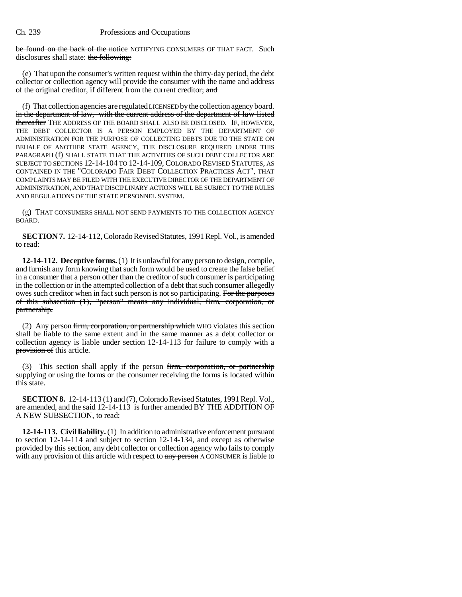be found on the back of the notice NOTIFYING CONSUMERS OF THAT FACT. Such disclosures shall state: the following:

(e) That upon the consumer's written request within the thirty-day period, the debt collector or collection agency will provide the consumer with the name and address of the original creditor, if different from the current creditor; and

(f) That collection agencies are regulated LICENSED by the collection agency board. in the department of law, with the current address of the department of law listed thereafter THE ADDRESS OF THE BOARD SHALL ALSO BE DISCLOSED. IF, HOWEVER, THE DEBT COLLECTOR IS A PERSON EMPLOYED BY THE DEPARTMENT OF ADMINISTRATION FOR THE PURPOSE OF COLLECTING DEBTS DUE TO THE STATE ON BEHALF OF ANOTHER STATE AGENCY, THE DISCLOSURE REQUIRED UNDER THIS PARAGRAPH (f) SHALL STATE THAT THE ACTIVITIES OF SUCH DEBT COLLECTOR ARE SUBJECT TO SECTIONS 12-14-104 TO 12-14-109, COLORADO REVISED STATUTES, AS CONTAINED IN THE "COLORADO FAIR DEBT COLLECTION PRACTICES ACT", THAT COMPLAINTS MAY BE FILED WITH THE EXECUTIVE DIRECTOR OF THE DEPARTMENT OF ADMINISTRATION, AND THAT DISCIPLINARY ACTIONS WILL BE SUBJECT TO THE RULES AND REGULATIONS OF THE STATE PERSONNEL SYSTEM.

(g) THAT CONSUMERS SHALL NOT SEND PAYMENTS TO THE COLLECTION AGENCY BOARD.

**SECTION 7.** 12-14-112, Colorado Revised Statutes, 1991 Repl. Vol., is amended to read:

**12-14-112. Deceptive forms.** (1) It is unlawful for any person to design, compile, and furnish any form knowing that such form would be used to create the false belief in a consumer that a person other than the creditor of such consumer is participating in the collection or in the attempted collection of a debt that such consumer allegedly owes such creditor when in fact such person is not so participating. For the purposes of this subsection (1), "person" means any individual, firm, corporation, or partnership.

(2) Any person firm, corporation, or partnership which WHO violates this section shall be liable to the same extent and in the same manner as a debt collector or collection agency is liable under section 12-14-113 for failure to comply with  $\alpha$ provision of this article.

(3) This section shall apply if the person firm, corporation, or partnership supplying or using the forms or the consumer receiving the forms is located within this state.

**SECTION 8.** 12-14-113 (1) and (7), Colorado Revised Statutes, 1991 Repl. Vol., are amended, and the said 12-14-113 is further amended BY THE ADDITION OF A NEW SUBSECTION, to read:

**12-14-113. Civil liability.** (1) In addition to administrative enforcement pursuant to section 12-14-114 and subject to section 12-14-134, and except as otherwise provided by this section, any debt collector or collection agency who fails to comply with any provision of this article with respect to any person A CONSUMER is liable to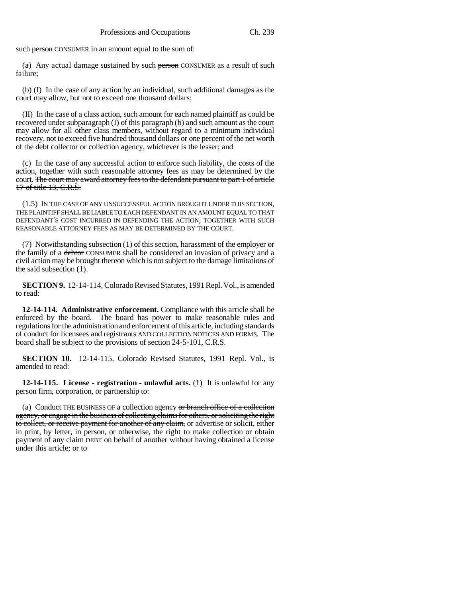such person CONSUMER in an amount equal to the sum of:

(a) Any actual damage sustained by such person CONSUMER as a result of such failure;

(b) (I) In the case of any action by an individual, such additional damages as the court may allow, but not to exceed one thousand dollars;

(II) In the case of a class action, such amount for each named plaintiff as could be recovered under subparagraph (I) of this paragraph (b) and such amount as the court may allow for all other class members, without regard to a minimum individual recovery, not to exceed five hundred thousand dollars or one percent of the net worth of the debt collector or collection agency, whichever is the lesser; and

(c) In the case of any successful action to enforce such liability, the costs of the action, together with such reasonable attorney fees as may be determined by the court. The court may award attorney fees to the defendant pursuant to part 1 of article 17 of title 13, C.R.S.

(1.5) IN THE CASE OF ANY UNSUCCESSFUL ACTION BROUGHT UNDER THIS SECTION, THE PLAINTIFF SHALL BE LIABLE TO EACH DEFENDANT IN AN AMOUNT EQUAL TO THAT DEFENDANT'S COST INCURRED IN DEFENDING THE ACTION, TOGETHER WITH SUCH REASONABLE ATTORNEY FEES AS MAY BE DETERMINED BY THE COURT.

(7) Notwithstanding subsection (1) of this section, harassment of the employer or the family of a debtor CONSUMER shall be considered an invasion of privacy and a civil action may be brought thereon which is not subject to the damage limitations of the said subsection  $(1)$ .

**SECTION 9.** 12-14-114, Colorado Revised Statutes, 1991 Repl. Vol., is amended to read:

**12-14-114. Administrative enforcement.** Compliance with this article shall be enforced by the board. The board has power to make reasonable rules and regulations for the administration and enforcement of this article, including standards of conduct for licensees and registrants AND COLLECTION NOTICES AND FORMS. The board shall be subject to the provisions of section 24-5-101, C.R.S.

**SECTION 10.** 12-14-115, Colorado Revised Statutes, 1991 Repl. Vol., is amended to read:

**12-14-115. License - registration - unlawful acts.** (1) It is unlawful for any person firm, corporation, or partnership to:

(a) Conduct THE BUSINESS OF a collection agency or branch office of a collection agency, or engage in the business of collecting claims for others, or soliciting the right to collect, or receive payment for another of any claim, or advertise or solicit, either in print, by letter, in person, or otherwise, the right to make collection or obtain payment of any claim DEBT on behalf of another without having obtained a license under this article; or to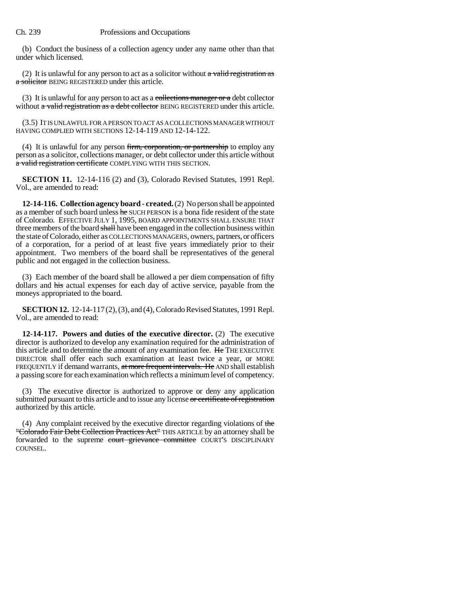(b) Conduct the business of a collection agency under any name other than that under which licensed.

(2) It is unlawful for any person to act as a solicitor without  $a$  valid registration as a solicitor BEING REGISTERED under this article.

(3) It is unlawful for any person to act as a collections manager or a debt collector without a valid registration as a debt collector BEING REGISTERED under this article.

(3.5) IT IS UNLAWFUL FOR A PERSON TO ACT AS A COLLECTIONS MANAGER WITHOUT HAVING COMPLIED WITH SECTIONS 12-14-119 AND 12-14-122.

(4) It is unlawful for any person firm, corporation, or partnership to employ any person as a solicitor, collections manager, or debt collector under this article without a valid registration certificate COMPLYING WITH THIS SECTION.

**SECTION 11.** 12-14-116 (2) and (3), Colorado Revised Statutes, 1991 Repl. Vol., are amended to read:

**12-14-116. Collection agency board - created.** (2) No person shall be appointed as a member of such board unless he SUCH PERSON is a bona fide resident of the state of Colorado. EFFECTIVE JULY 1, 1995, BOARD APPOINTMENTS SHALL ENSURE THAT three members of the board shall have been engaged in the collection business within the state of Colorado, either as COLLECTIONS MANAGERS, owners, partners, or officers of a corporation, for a period of at least five years immediately prior to their appointment. Two members of the board shall be representatives of the general public and not engaged in the collection business.

(3) Each member of the board shall be allowed a per diem compensation of fifty dollars and his actual expenses for each day of active service, payable from the moneys appropriated to the board.

**SECTION 12.** 12-14-117 (2), (3), and (4), Colorado Revised Statutes, 1991 Repl. Vol., are amended to read:

**12-14-117. Powers and duties of the executive director.** (2) The executive director is authorized to develop any examination required for the administration of this article and to determine the amount of any examination fee. He THE EXECUTIVE DIRECTOR shall offer each such examination at least twice a year, or MORE FREQUENTLY if demand warrants, at more frequent intervals. He AND shall establish a passing score for each examination which reflects a minimum level of competency.

(3) The executive director is authorized to approve or deny any application submitted pursuant to this article and to issue any license or certificate of registration authorized by this article.

(4) Any complaint received by the executive director regarding violations of the "Colorado Fair Debt Collection Practices Act" THIS ARTICLE by an attorney shall be forwarded to the supreme court grievance committee COURT'S DISCIPLINARY COUNSEL.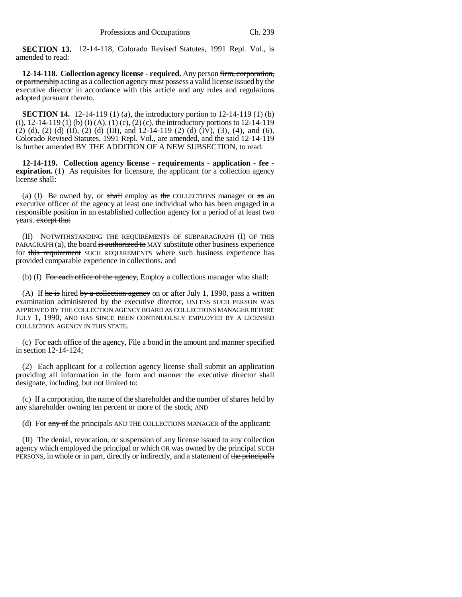**SECTION 13.** 12-14-118, Colorado Revised Statutes, 1991 Repl. Vol., is amended to read:

**12-14-118. Collection agency license - required.** Any person firm, corporation, or partnership acting as a collection agency must possess a valid license issued by the executive director in accordance with this article and any rules and regulations adopted pursuant thereto.

**SECTION 14.** 12-14-119 (1) (a), the introductory portion to 12-14-119 (1) (b) (I), 12-14-119 (1) (b) (I) (A), (1) (c), (2) (c), the introductory portions to 12-14-119 (2) (d), (2) (d) (II), (2) (d) (III), and 12-14-119 (2) (d) (IV), (3), (4), and (6), Colorado Revised Statutes, 1991 Repl. Vol., are amended, and the said 12-14-119 is further amended BY THE ADDITION OF A NEW SUBSECTION, to read:

**12-14-119. Collection agency license - requirements - application - fee expiration.** (1) As requisites for licensure, the applicant for a collection agency license shall:

(a) (I) Be owned by, or shall employ as the COLLECTIONS manager or  $\pi s$  an executive officer of the agency at least one individual who has been engaged in a responsible position in an established collection agency for a period of at least two years. except that

(II) NOTWITHSTANDING THE REQUIREMENTS OF SUBPARAGRAPH (I) OF THIS PARAGRAPH (a), the board is authorized to MAY substitute other business experience for this requirement SUCH REQUIREMENTS where such business experience has provided comparable experience in collections. and

(b) (I) For each office of the agency, Employ a collections manager who shall:

(A) If he is hired by a collection agency on or after July 1, 1990, pass a written examination administered by the executive director, UNLESS SUCH PERSON WAS APPROVED BY THE COLLECTION AGENCY BOARD AS COLLECTIONS MANAGER BEFORE JULY 1, 1990, AND HAS SINCE BEEN CONTINUOUSLY EMPLOYED BY A LICENSED COLLECTION AGENCY IN THIS STATE.

(c) For each office of the agency, File a bond in the amount and manner specified in section 12-14-124;

(2) Each applicant for a collection agency license shall submit an application providing all information in the form and manner the executive director shall designate, including, but not limited to:

(c) If a corporation, the name of the shareholder and the number of shares held by any shareholder owning ten percent or more of the stock; AND

(d) For any of the principals AND THE COLLECTIONS MANAGER of the applicant:

(II) The denial, revocation, or suspension of any license issued to any collection agency which employed the principal or which OR was owned by the principal SUCH PERSONS, in whole or in part, directly or indirectly, and a statement of the principal's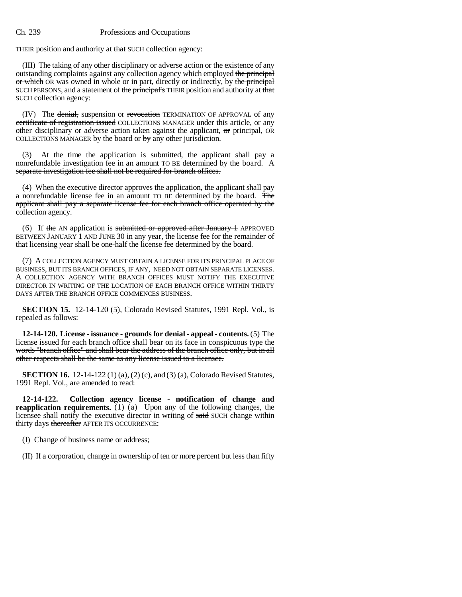THEIR position and authority at that SUCH collection agency:

(III) The taking of any other disciplinary or adverse action or the existence of any outstanding complaints against any collection agency which employed the principal or which OR was owned in whole or in part, directly or indirectly, by the principal SUCH PERSONS, and a statement of the principal's THEIR position and authority at that SUCH collection agency:

(IV) The denial, suspension or revocation TERMINATION OF APPROVAL of any certificate of registration issued COLLECTIONS MANAGER under this article, or any other disciplinary or adverse action taken against the applicant, or principal, OR COLLECTIONS MANAGER by the board or  $\frac{1}{2}$  by any other jurisdiction.

(3) At the time the application is submitted, the applicant shall pay a nonrefundable investigation fee in an amount TO BE determined by the board. A separate investigation fee shall not be required for branch offices.

(4) When the executive director approves the application, the applicant shall pay a nonrefundable license fee in an amount TO BE determined by the board. The applicant shall pay a separate license fee for each branch office operated by the collection agency.

(6) If the AN application is submitted or approved after January  $\pm$  APPROVED BETWEEN JANUARY 1 AND JUNE 30 in any year, the license fee for the remainder of that licensing year shall be one-half the license fee determined by the board.

(7) A COLLECTION AGENCY MUST OBTAIN A LICENSE FOR ITS PRINCIPAL PLACE OF BUSINESS, BUT ITS BRANCH OFFICES, IF ANY, NEED NOT OBTAIN SEPARATE LICENSES. A COLLECTION AGENCY WITH BRANCH OFFICES MUST NOTIFY THE EXECUTIVE DIRECTOR IN WRITING OF THE LOCATION OF EACH BRANCH OFFICE WITHIN THIRTY DAYS AFTER THE BRANCH OFFICE COMMENCES BUSINESS.

**SECTION 15.** 12-14-120 (5), Colorado Revised Statutes, 1991 Repl. Vol., is repealed as follows:

**12-14-120. License - issuance - grounds for denial - appeal - contents.** (5) The license issued for each branch office shall bear on its face in conspicuous type the words "branch office" and shall bear the address of the branch office only, but in all other respects shall be the same as any license issued to a licensee.

**SECTION 16.** 12-14-122 (1) (a), (2) (c), and (3) (a), Colorado Revised Statutes, 1991 Repl. Vol., are amended to read:

**12-14-122. Collection agency license - notification of change and reapplication requirements.** (1) (a) Upon any of the following changes, the licensee shall notify the executive director in writing of said SUCH change within thirty days thereafter AFTER ITS OCCURRENCE:

(I) Change of business name or address;

(II) If a corporation, change in ownership of ten or more percent but less than fifty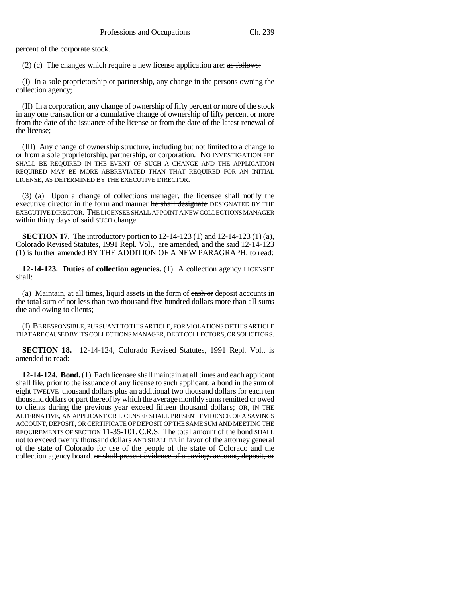percent of the corporate stock.

(2) (c) The changes which require a new license application are:  $\frac{1}{\text{as follows}}$ :

(I) In a sole proprietorship or partnership, any change in the persons owning the collection agency;

(II) In a corporation, any change of ownership of fifty percent or more of the stock in any one transaction or a cumulative change of ownership of fifty percent or more from the date of the issuance of the license or from the date of the latest renewal of the license;

(III) Any change of ownership structure, including but not limited to a change to or from a sole proprietorship, partnership, or corporation. NO INVESTIGATION FEE SHALL BE REQUIRED IN THE EVENT OF SUCH A CHANGE AND THE APPLICATION REQUIRED MAY BE MORE ABBREVIATED THAN THAT REQUIRED FOR AN INITIAL LICENSE, AS DETERMINED BY THE EXECUTIVE DIRECTOR.

(3) (a) Upon a change of collections manager, the licensee shall notify the executive director in the form and manner he shall designate DESIGNATED BY THE EXECUTIVE DIRECTOR. THE LICENSEE SHALL APPOINT A NEW COLLECTIONS MANAGER within thirty days of said SUCH change.

**SECTION 17.** The introductory portion to 12-14-123 (1) and 12-14-123 (1) (a), Colorado Revised Statutes, 1991 Repl. Vol., are amended, and the said 12-14-123 (1) is further amended BY THE ADDITION OF A NEW PARAGRAPH, to read:

**12-14-123. Duties of collection agencies.** (1) A collection agency LICENSEE shall:

(a) Maintain, at all times, liquid assets in the form of eash or deposit accounts in the total sum of not less than two thousand five hundred dollars more than all sums due and owing to clients;

(f) BE RESPONSIBLE, PURSUANT TO THIS ARTICLE, FOR VIOLATIONS OF THIS ARTICLE THAT ARE CAUSED BY ITS COLLECTIONS MANAGER, DEBT COLLECTORS, OR SOLICITORS.

**SECTION 18.** 12-14-124, Colorado Revised Statutes, 1991 Repl. Vol., is amended to read:

**12-14-124. Bond.** (1) Each licensee shall maintain at all times and each applicant shall file, prior to the issuance of any license to such applicant, a bond in the sum of eight TWELVE thousand dollars plus an additional two thousand dollars for each ten thousand dollars or part thereof by which the average monthly sums remitted or owed to clients during the previous year exceed fifteen thousand dollars; OR, IN THE ALTERNATIVE, AN APPLICANT OR LICENSEE SHALL PRESENT EVIDENCE OF A SAVINGS ACCOUNT, DEPOSIT, OR CERTIFICATE OF DEPOSIT OF THE SAME SUM AND MEETING THE REQUIREMENTS OF SECTION 11-35-101, C.R.S. The total amount of the bond SHALL not to exceed twenty thousand dollars AND SHALL BE in favor of the attorney general of the state of Colorado for use of the people of the state of Colorado and the collection agency board. or shall present evidence of a savings account, deposit, or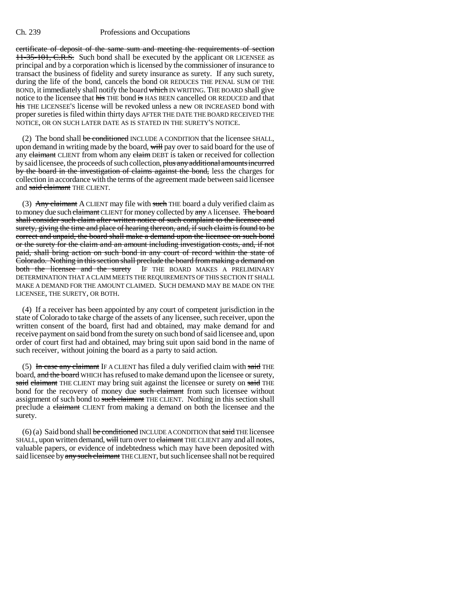certificate of deposit of the same sum and meeting the requirements of section 11-35-101, C.R.S. Such bond shall be executed by the applicant OR LICENSEE as principal and by a corporation which is licensed by the commissioner of insurance to transact the business of fidelity and surety insurance as surety. If any such surety, during the life of the bond, cancels the bond OR REDUCES THE PENAL SUM OF THE BOND, it immediately shall notify the board which IN WRITING. THE BOARD shall give notice to the licensee that his THE bond is HAS BEEN cancelled OR REDUCED and that his THE LICENSEE'S license will be revoked unless a new OR INCREASED bond with proper sureties is filed within thirty days AFTER THE DATE THE BOARD RECEIVED THE NOTICE, OR ON SUCH LATER DATE AS IS STATED IN THE SURETY'S NOTICE.

(2) The bond shall be conditioned INCLUDE A CONDITION that the licensee SHALL, upon demand in writing made by the board, will pay over to said board for the use of any claimant CLIENT from whom any claim DEBT is taken or received for collection by said licensee, the proceeds of such collection, plus any additional amounts incurred by the board in the investigation of claims against the bond, less the charges for collection in accordance with the terms of the agreement made between said licensee and said claimant THE CLIENT.

(3) Any claimant A CLIENT may file with such THE board a duly verified claim as to money due such claimant CLIENT for money collected by any A licensee. The board shall consider such claim after written notice of such complaint to the licensee and surety, giving the time and place of hearing thereon, and, if such claim is found to be correct and unpaid, the board shall make a demand upon the licensee on such bond or the surety for the claim and an amount including investigation costs, and, if not paid, shall bring action on such bond in any court of record within the state of Colorado. Nothing in this section shall preclude the board from making a demand on both the licensee and the surety IF THE BOARD MAKES A PRELIMINARY IF THE BOARD MAKES A PRELIMINARY DETERMINATION THAT A CLAIM MEETS THE REQUIREMENTS OF THIS SECTION IT SHALL MAKE A DEMAND FOR THE AMOUNT CLAIMED. SUCH DEMAND MAY BE MADE ON THE LICENSEE, THE SURETY, OR BOTH.

(4) If a receiver has been appointed by any court of competent jurisdiction in the state of Colorado to take charge of the assets of any licensee, such receiver, upon the written consent of the board, first had and obtained, may make demand for and receive payment on said bond from the surety on such bond of said licensee and, upon order of court first had and obtained, may bring suit upon said bond in the name of such receiver, without joining the board as a party to said action.

(5) In case any claimant IF A CLIENT has filed a duly verified claim with said THE board, and the board WHICH has refused to make demand upon the licensee or surety, said claimant THE CLIENT may bring suit against the licensee or surety on said THE bond for the recovery of money due such claimant from such licensee without assignment of such bond to such claimant THE CLIENT. Nothing in this section shall preclude a claimant CLIENT from making a demand on both the licensee and the surety.

 $(6)$  (a) Said bond shall be conditioned INCLUDE A CONDITION that said THE licensee SHALL, upon written demand, will turn over to claimant THE CLIENT any and all notes, valuable papers, or evidence of indebtedness which may have been deposited with said licensee by any such claimant THE CLIENT, but such licensee shall not be required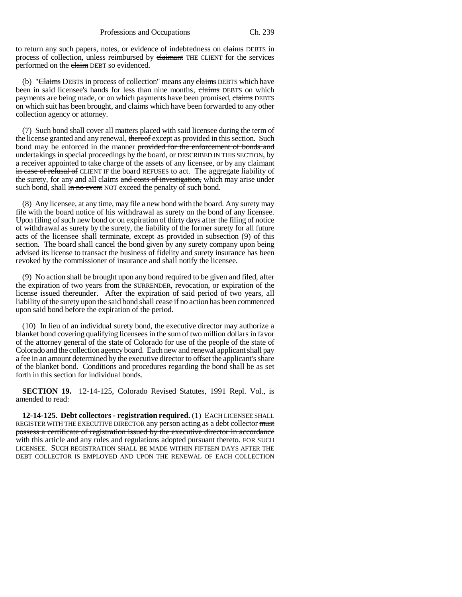to return any such papers, notes, or evidence of indebtedness on claims DEBTS in process of collection, unless reimbursed by claimant THE CLIENT for the services performed on the claim DEBT so evidenced.

(b) "Claims DEBTS in process of collection" means any claims DEBTS which have been in said licensee's hands for less than nine months, elaims DEBTS on which payments are being made, or on which payments have been promised, claims DEBTS on which suit has been brought, and claims which have been forwarded to any other collection agency or attorney.

(7) Such bond shall cover all matters placed with said licensee during the term of the license granted and any renewal, thereof except as provided in this section. Such bond may be enforced in the manner provided for the enforcement of bonds and undertakings in special proceedings by the board, or DESCRIBED IN THIS SECTION, by a receiver appointed to take charge of the assets of any licensee, or by any claimant in case of refusal of CLIENT IF the board REFUSES to act. The aggregate liability of the surety, for any and all claims and costs of investigation, which may arise under such bond, shall in no event NOT exceed the penalty of such bond.

(8) Any licensee, at any time, may file a new bond with the board. Any surety may file with the board notice of his withdrawal as surety on the bond of any licensee. Upon filing of such new bond or on expiration of thirty days after the filing of notice of withdrawal as surety by the surety, the liability of the former surety for all future acts of the licensee shall terminate, except as provided in subsection (9) of this section. The board shall cancel the bond given by any surety company upon being advised its license to transact the business of fidelity and surety insurance has been revoked by the commissioner of insurance and shall notify the licensee.

(9) No action shall be brought upon any bond required to be given and filed, after the expiration of two years from the SURRENDER, revocation, or expiration of the license issued thereunder. After the expiration of said period of two years, all liability of the surety upon the said bond shall cease if no action has been commenced upon said bond before the expiration of the period.

(10) In lieu of an individual surety bond, the executive director may authorize a blanket bond covering qualifying licensees in the sum of two million dollars in favor of the attorney general of the state of Colorado for use of the people of the state of Colorado and the collection agency board. Each new and renewal applicant shall pay a fee in an amount determined by the executive director to offset the applicant's share of the blanket bond. Conditions and procedures regarding the bond shall be as set forth in this section for individual bonds.

**SECTION 19.** 12-14-125, Colorado Revised Statutes, 1991 Repl. Vol., is amended to read:

**12-14-125. Debt collectors - registration required.** (1) EACH LICENSEE SHALL REGISTER WITH THE EXECUTIVE DIRECTOR any person acting as a debt collector must possess a certificate of registration issued by the executive director in accordance with this article and any rules and regulations adopted pursuant thereto. FOR SUCH LICENSEE. SUCH REGISTRATION SHALL BE MADE WITHIN FIFTEEN DAYS AFTER THE DEBT COLLECTOR IS EMPLOYED AND UPON THE RENEWAL OF EACH COLLECTION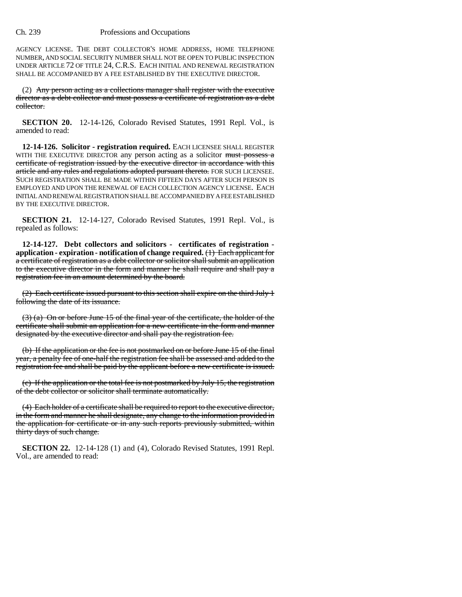AGENCY LICENSE. THE DEBT COLLECTOR'S HOME ADDRESS, HOME TELEPHONE NUMBER, AND SOCIAL SECURITY NUMBER SHALL NOT BE OPEN TO PUBLIC INSPECTION UNDER ARTICLE 72 OF TITLE 24, C.R.S. EACH INITIAL AND RENEWAL REGISTRATION SHALL BE ACCOMPANIED BY A FEE ESTABLISHED BY THE EXECUTIVE DIRECTOR.

(2) Any person acting as a collections manager shall register with the executive director as a debt collector and must possess a certificate of registration as a debt collector.

**SECTION 20.** 12-14-126, Colorado Revised Statutes, 1991 Repl. Vol., is amended to read:

**12-14-126. Solicitor - registration required.** EACH LICENSEE SHALL REGISTER WITH THE EXECUTIVE DIRECTOR any person acting as a solicitor must possess a certificate of registration issued by the executive director in accordance with this article and any rules and regulations adopted pursuant thereto. FOR SUCH LICENSEE. SUCH REGISTRATION SHALL BE MADE WITHIN FIFTEEN DAYS AFTER SUCH PERSON IS EMPLOYED AND UPON THE RENEWAL OF EACH COLLECTION AGENCY LICENSE. EACH INITIAL AND RENEWAL REGISTRATION SHALL BE ACCOMPANIED BY A FEE ESTABLISHED BY THE EXECUTIVE DIRECTOR.

**SECTION 21.** 12-14-127, Colorado Revised Statutes, 1991 Repl. Vol., is repealed as follows:

**12-14-127. Debt collectors and solicitors - certificates of registration application - expiration - notification of change required.** (1) Each applicant for a certificate of registration as a debt collector or solicitor shall submit an application to the executive director in the form and manner he shall require and shall pay a registration fee in an amount determined by the board.

(2) Each certificate issued pursuant to this section shall expire on the third July 1 following the date of its issuance.

(3) (a) On or before June 15 of the final year of the certificate, the holder of the certificate shall submit an application for a new certificate in the form and manner designated by the executive director and shall pay the registration fee.

(b) If the application or the fee is not postmarked on or before June 15 of the final year, a penalty fee of one-half the registration fee shall be assessed and added to the registration fee and shall be paid by the applicant before a new certificate is issued.

(c) If the application or the total fee is not postmarked by July 15, the registration of the debt collector or solicitor shall terminate automatically.

(4) Each holder of a certificate shall be required to report to the executive director, in the form and manner he shall designate, any change to the information provided in the application for certificate or in any such reports previously submitted, within thirty days of such change.

**SECTION 22.** 12-14-128 (1) and (4), Colorado Revised Statutes, 1991 Repl. Vol., are amended to read: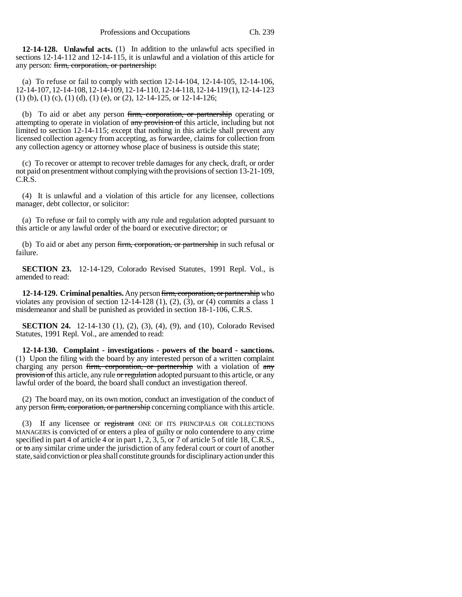**12-14-128. Unlawful acts.** (1) In addition to the unlawful acts specified in sections 12-14-112 and 12-14-115, it is unlawful and a violation of this article for any person: firm, corporation, or partnership:

(a) To refuse or fail to comply with section 12-14-104, 12-14-105, 12-14-106, 12-14-107, 12-14-108, 12-14-109, 12-14-110, 12-14-118, 12-14-119 (1), 12-14-123 (1) (b), (1) (c), (1) (d), (1) (e), or (2), 12-14-125, or 12-14-126;

(b) To aid or abet any person firm, corporation, or partnership operating or attempting to operate in violation of any provision of this article, including but not limited to section 12-14-115; except that nothing in this article shall prevent any licensed collection agency from accepting, as forwardee, claims for collection from any collection agency or attorney whose place of business is outside this state;

(c) To recover or attempt to recover treble damages for any check, draft, or order not paid on presentment without complying with the provisions of section 13-21-109, C.R.S.

(4) It is unlawful and a violation of this article for any licensee, collections manager, debt collector, or solicitor:

(a) To refuse or fail to comply with any rule and regulation adopted pursuant to this article or any lawful order of the board or executive director; or

(b) To aid or abet any person firm, corporation, or partnership in such refusal or failure.

**SECTION 23.** 12-14-129, Colorado Revised Statutes, 1991 Repl. Vol., is amended to read:

**12-14-129. Criminal penalties.** Any person firm, corporation, or partnership who violates any provision of section  $12-14-128$   $(1)$ ,  $(2)$ ,  $(3)$ , or  $(4)$  commits a class 1 misdemeanor and shall be punished as provided in section 18-1-106, C.R.S.

**SECTION 24.** 12-14-130 (1), (2), (3), (4), (9), and (10), Colorado Revised Statutes, 1991 Repl. Vol., are amended to read:

**12-14-130. Complaint - investigations - powers of the board - sanctions.** (1) Upon the filing with the board by any interested person of a written complaint charging any person firm, corporation, or partnership with a violation of any provision of this article, any rule or regulation adopted pursuant to this article, or any lawful order of the board, the board shall conduct an investigation thereof.

(2) The board may, on its own motion, conduct an investigation of the conduct of any person firm, corporation, or partnership concerning compliance with this article.

(3) If any licensee or registrant ONE OF ITS PRINCIPALS OR COLLECTIONS MANAGERS is convicted of or enters a plea of guilty or nolo contendere to any crime specified in part 4 of article 4 or in part 1, 2, 3, 5, or 7 of article 5 of title 18, C.R.S., or to any similar crime under the jurisdiction of any federal court or court of another state, said conviction or plea shall constitute grounds for disciplinary action under this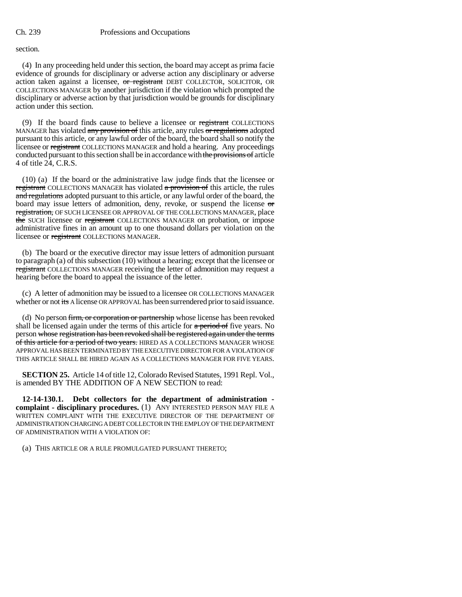section.

(4) In any proceeding held under this section, the board may accept as prima facie evidence of grounds for disciplinary or adverse action any disciplinary or adverse action taken against a licensee, or registrant DEBT COLLECTOR, SOLICITOR, OR COLLECTIONS MANAGER by another jurisdiction if the violation which prompted the disciplinary or adverse action by that jurisdiction would be grounds for disciplinary action under this section.

(9) If the board finds cause to believe a licensee or registrant COLLECTIONS MANAGER has violated any provision of this article, any rules or regulations adopted pursuant to this article, or any lawful order of the board, the board shall so notify the licensee or registrant COLLECTIONS MANAGER and hold a hearing. Any proceedings conducted pursuant to this section shall be in accordance with the provisions of article 4 of title 24, C.R.S.

(10) (a) If the board or the administrative law judge finds that the licensee or registrant COLLECTIONS MANAGER has violated a provision of this article, the rules and regulations adopted pursuant to this article, or any lawful order of the board, the board may issue letters of admonition, deny, revoke, or suspend the license or registration, OF SUCH LICENSEE OR APPROVAL OF THE COLLECTIONS MANAGER, place the SUCH licensee or registrant COLLECTIONS MANAGER on probation, or impose administrative fines in an amount up to one thousand dollars per violation on the licensee or registrant COLLECTIONS MANAGER.

(b) The board or the executive director may issue letters of admonition pursuant to paragraph (a) of this subsection (10) without a hearing; except that the licensee or registrant COLLECTIONS MANAGER receiving the letter of admonition may request a hearing before the board to appeal the issuance of the letter.

(c) A letter of admonition may be issued to a licensee OR COLLECTIONS MANAGER whether or not its A license OR APPROVAL has been surrendered prior to said issuance.

(d) No person firm, or corporation or partnership whose license has been revoked shall be licensed again under the terms of this article for  $a$  period of five years. No person whose registration has been revoked shall be registered again under the terms of this article for a period of two years. HIRED AS A COLLECTIONS MANAGER WHOSE APPROVAL HAS BEEN TERMINATED BY THE EXECUTIVE DIRECTOR FOR A VIOLATION OF THIS ARTICLE SHALL BE HIRED AGAIN AS A COLLECTIONS MANAGER FOR FIVE YEARS.

**SECTION 25.** Article 14 of title 12, Colorado Revised Statutes, 1991 Repl. Vol., is amended BY THE ADDITION OF A NEW SECTION to read:

**12-14-130.1. Debt collectors for the department of administration complaint - disciplinary procedures.** (1) ANY INTERESTED PERSON MAY FILE A WRITTEN COMPLAINT WITH THE EXECUTIVE DIRECTOR OF THE DEPARTMENT OF ADMINISTRATION CHARGING A DEBT COLLECTOR IN THE EMPLOY OF THE DEPARTMENT OF ADMINISTRATION WITH A VIOLATION OF:

(a) THIS ARTICLE OR A RULE PROMULGATED PURSUANT THERETO;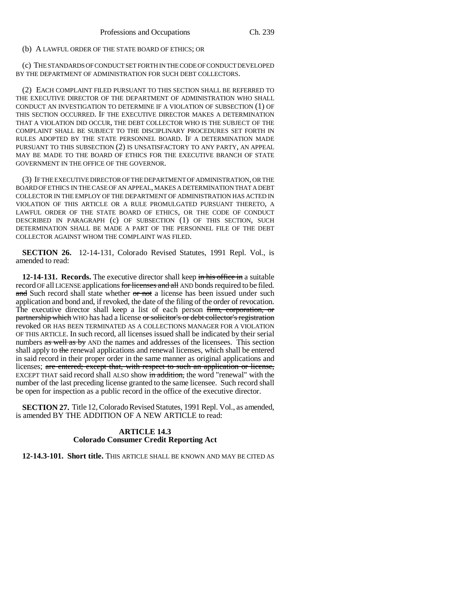### (b) A LAWFUL ORDER OF THE STATE BOARD OF ETHICS; OR

(c) THE STANDARDS OF CONDUCT SET FORTH IN THE CODE OF CONDUCT DEVELOPED BY THE DEPARTMENT OF ADMINISTRATION FOR SUCH DEBT COLLECTORS.

(2) EACH COMPLAINT FILED PURSUANT TO THIS SECTION SHALL BE REFERRED TO THE EXECUTIVE DIRECTOR OF THE DEPARTMENT OF ADMINISTRATION WHO SHALL CONDUCT AN INVESTIGATION TO DETERMINE IF A VIOLATION OF SUBSECTION (1) OF THIS SECTION OCCURRED. IF THE EXECUTIVE DIRECTOR MAKES A DETERMINATION THAT A VIOLATION DID OCCUR, THE DEBT COLLECTOR WHO IS THE SUBJECT OF THE COMPLAINT SHALL BE SUBJECT TO THE DISCIPLINARY PROCEDURES SET FORTH IN RULES ADOPTED BY THE STATE PERSONNEL BOARD. IF A DETERMINATION MADE PURSUANT TO THIS SUBSECTION (2) IS UNSATISFACTORY TO ANY PARTY, AN APPEAL MAY BE MADE TO THE BOARD OF ETHICS FOR THE EXECUTIVE BRANCH OF STATE GOVERNMENT IN THE OFFICE OF THE GOVERNOR.

(3) IF THE EXECUTIVE DIRECTOR OF THE DEPARTMENT OF ADMINISTRATION, OR THE BOARD OF ETHICS IN THE CASE OF AN APPEAL, MAKES A DETERMINATION THAT A DEBT COLLECTOR IN THE EMPLOY OF THE DEPARTMENT OF ADMINISTRATION HAS ACTED IN VIOLATION OF THIS ARTICLE OR A RULE PROMULGATED PURSUANT THERETO, A LAWFUL ORDER OF THE STATE BOARD OF ETHICS, OR THE CODE OF CONDUCT DESCRIBED IN PARAGRAPH (c) OF SUBSECTION (1) OF THIS SECTION, SUCH DETERMINATION SHALL BE MADE A PART OF THE PERSONNEL FILE OF THE DEBT COLLECTOR AGAINST WHOM THE COMPLAINT WAS FILED.

**SECTION 26.** 12-14-131, Colorado Revised Statutes, 1991 Repl. Vol., is amended to read:

**12-14-131. Records.** The executive director shall keep in his office in a suitable record OF all LICENSE applications for licenses and all AND bonds required to be filed. and Such record shall state whether or not a license has been issued under such application and bond and, if revoked, the date of the filing of the order of revocation. The executive director shall keep a list of each person firm, corporation, or partnership which WHO has had a license or solicitor's or debt collector's registration revoked OR HAS BEEN TERMINATED AS A COLLECTIONS MANAGER FOR A VIOLATION OF THIS ARTICLE. In such record, all licenses issued shall be indicated by their serial numbers as well as by AND the names and addresses of the licensees. This section shall apply to the renewal applications and renewal licenses, which shall be entered in said record in their proper order in the same manner as original applications and licenses; are entered; except that, with respect to such an application or license, EXCEPT THAT said record shall ALSO show in addition, the word "renewal" with the number of the last preceding license granted to the same licensee. Such record shall be open for inspection as a public record in the office of the executive director.

**SECTION 27.** Title 12, Colorado Revised Statutes, 1991 Repl. Vol., as amended, is amended BY THE ADDITION OF A NEW ARTICLE to read:

# **ARTICLE 14.3 Colorado Consumer Credit Reporting Act**

**12-14.3-101. Short title.** THIS ARTICLE SHALL BE KNOWN AND MAY BE CITED AS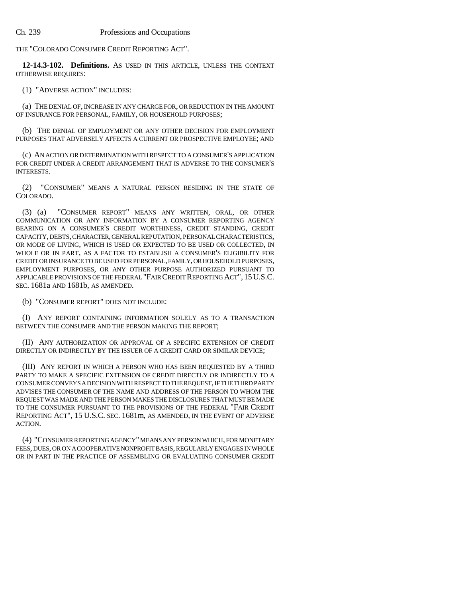THE "COLORADO CONSUMER CREDIT REPORTING ACT".

**12-14.3-102. Definitions.** AS USED IN THIS ARTICLE, UNLESS THE CONTEXT OTHERWISE REQUIRES:

(1) "ADVERSE ACTION" INCLUDES:

(a) THE DENIAL OF, INCREASE IN ANY CHARGE FOR, OR REDUCTION IN THE AMOUNT OF INSURANCE FOR PERSONAL, FAMILY, OR HOUSEHOLD PURPOSES;

(b) THE DENIAL OF EMPLOYMENT OR ANY OTHER DECISION FOR EMPLOYMENT PURPOSES THAT ADVERSELY AFFECTS A CURRENT OR PROSPECTIVE EMPLOYEE; AND

(c) AN ACTION OR DETERMINATION WITH RESPECT TO A CONSUMER'S APPLICATION FOR CREDIT UNDER A CREDIT ARRANGEMENT THAT IS ADVERSE TO THE CONSUMER'S INTERESTS.

(2) "CONSUMER" MEANS A NATURAL PERSON RESIDING IN THE STATE OF COLORADO.

(3) (a) "CONSUMER REPORT" MEANS ANY WRITTEN, ORAL, OR OTHER COMMUNICATION OR ANY INFORMATION BY A CONSUMER REPORTING AGENCY BEARING ON A CONSUMER'S CREDIT WORTHINESS, CREDIT STANDING, CREDIT CAPACITY, DEBTS, CHARACTER, GENERAL REPUTATION, PERSONAL CHARACTERISTICS, OR MODE OF LIVING, WHICH IS USED OR EXPECTED TO BE USED OR COLLECTED, IN WHOLE OR IN PART, AS A FACTOR TO ESTABLISH A CONSUMER'S ELIGIBILITY FOR CREDIT OR INSURANCE TO BE USED FOR PERSONAL, FAMILY, OR HOUSEHOLD PURPOSES, EMPLOYMENT PURPOSES, OR ANY OTHER PURPOSE AUTHORIZED PURSUANT TO APPLICABLE PROVISIONS OF THE FEDERAL "FAIR CREDIT REPORTING ACT", 15U.S.C. SEC. 1681a AND 1681b, AS AMENDED.

(b) "CONSUMER REPORT" DOES NOT INCLUDE:

(I) ANY REPORT CONTAINING INFORMATION SOLELY AS TO A TRANSACTION BETWEEN THE CONSUMER AND THE PERSON MAKING THE REPORT;

(II) ANY AUTHORIZATION OR APPROVAL OF A SPECIFIC EXTENSION OF CREDIT DIRECTLY OR INDIRECTLY BY THE ISSUER OF A CREDIT CARD OR SIMILAR DEVICE;

(III) ANY REPORT IN WHICH A PERSON WHO HAS BEEN REQUESTED BY A THIRD PARTY TO MAKE A SPECIFIC EXTENSION OF CREDIT DIRECTLY OR INDIRECTLY TO A CONSUMER CONVEYS A DECISION WITH RESPECT TO THE REQUEST, IF THE THIRD PARTY ADVISES THE CONSUMER OF THE NAME AND ADDRESS OF THE PERSON TO WHOM THE REQUEST WAS MADE AND THE PERSON MAKES THE DISCLOSURES THAT MUST BE MADE TO THE CONSUMER PURSUANT TO THE PROVISIONS OF THE FEDERAL "FAIR CREDIT REPORTING ACT", 15 U.S.C. SEC. 1681m, AS AMENDED, IN THE EVENT OF ADVERSE ACTION.

(4) "CONSUMER REPORTING AGENCY" MEANS ANY PERSON WHICH, FOR MONETARY FEES, DUES, OR ON A COOPERATIVE NONPROFIT BASIS, REGULARLY ENGAGES IN WHOLE OR IN PART IN THE PRACTICE OF ASSEMBLING OR EVALUATING CONSUMER CREDIT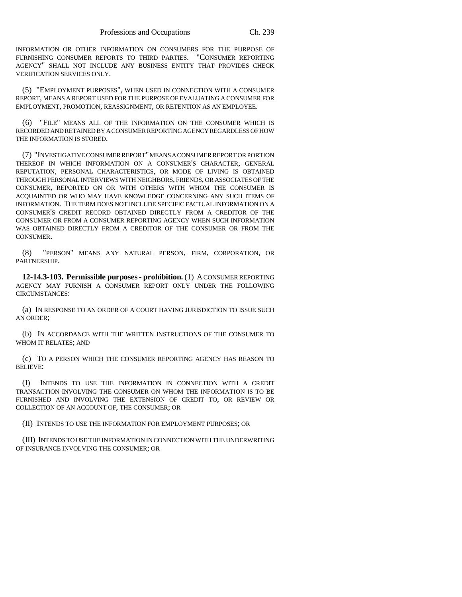INFORMATION OR OTHER INFORMATION ON CONSUMERS FOR THE PURPOSE OF FURNISHING CONSUMER REPORTS TO THIRD PARTIES. "CONSUMER REPORTING AGENCY" SHALL NOT INCLUDE ANY BUSINESS ENTITY THAT PROVIDES CHECK VERIFICATION SERVICES ONLY.

(5) "EMPLOYMENT PURPOSES", WHEN USED IN CONNECTION WITH A CONSUMER REPORT, MEANS A REPORT USED FOR THE PURPOSE OF EVALUATING A CONSUMER FOR EMPLOYMENT, PROMOTION, REASSIGNMENT, OR RETENTION AS AN EMPLOYEE.

(6) "FILE" MEANS ALL OF THE INFORMATION ON THE CONSUMER WHICH IS RECORDED AND RETAINED BY A CONSUMER REPORTING AGENCY REGARDLESS OF HOW THE INFORMATION IS STORED.

(7) "INVESTIGATIVE CONSUMER REPORT" MEANS A CONSUMER REPORT OR PORTION THEREOF IN WHICH INFORMATION ON A CONSUMER'S CHARACTER, GENERAL REPUTATION, PERSONAL CHARACTERISTICS, OR MODE OF LIVING IS OBTAINED THROUGH PERSONAL INTERVIEWS WITH NEIGHBORS, FRIENDS, OR ASSOCIATES OF THE CONSUMER, REPORTED ON OR WITH OTHERS WITH WHOM THE CONSUMER IS ACQUAINTED OR WHO MAY HAVE KNOWLEDGE CONCERNING ANY SUCH ITEMS OF INFORMATION. THE TERM DOES NOT INCLUDE SPECIFIC FACTUAL INFORMATION ON A CONSUMER'S CREDIT RECORD OBTAINED DIRECTLY FROM A CREDITOR OF THE CONSUMER OR FROM A CONSUMER REPORTING AGENCY WHEN SUCH INFORMATION WAS OBTAINED DIRECTLY FROM A CREDITOR OF THE CONSUMER OR FROM THE CONSUMER.

(8) "PERSON" MEANS ANY NATURAL PERSON, FIRM, CORPORATION, OR PARTNERSHIP.

**12-14.3-103. Permissible purposes - prohibition.** (1) A CONSUMER REPORTING AGENCY MAY FURNISH A CONSUMER REPORT ONLY UNDER THE FOLLOWING CIRCUMSTANCES:

(a) IN RESPONSE TO AN ORDER OF A COURT HAVING JURISDICTION TO ISSUE SUCH AN ORDER;

(b) IN ACCORDANCE WITH THE WRITTEN INSTRUCTIONS OF THE CONSUMER TO WHOM IT RELATES; AND

(c) TO A PERSON WHICH THE CONSUMER REPORTING AGENCY HAS REASON TO BELIEVE:

(I) INTENDS TO USE THE INFORMATION IN CONNECTION WITH A CREDIT TRANSACTION INVOLVING THE CONSUMER ON WHOM THE INFORMATION IS TO BE FURNISHED AND INVOLVING THE EXTENSION OF CREDIT TO, OR REVIEW OR COLLECTION OF AN ACCOUNT OF, THE CONSUMER; OR

(II) INTENDS TO USE THE INFORMATION FOR EMPLOYMENT PURPOSES; OR

(III) INTENDS TO USE THE INFORMATION IN CONNECTION WITH THE UNDERWRITING OF INSURANCE INVOLVING THE CONSUMER; OR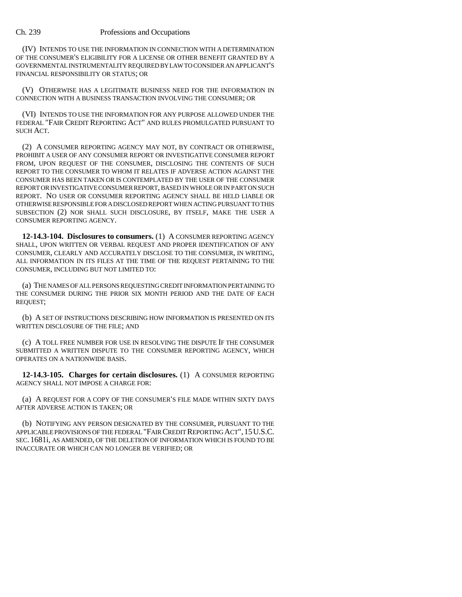(IV) INTENDS TO USE THE INFORMATION IN CONNECTION WITH A DETERMINATION OF THE CONSUMER'S ELIGIBILITY FOR A LICENSE OR OTHER BENEFIT GRANTED BY A GOVERNMENTAL INSTRUMENTALITY REQUIRED BY LAW TO CONSIDER AN APPLICANT'S FINANCIAL RESPONSIBILITY OR STATUS; OR

(V) OTHERWISE HAS A LEGITIMATE BUSINESS NEED FOR THE INFORMATION IN CONNECTION WITH A BUSINESS TRANSACTION INVOLVING THE CONSUMER; OR

(VI) INTENDS TO USE THE INFORMATION FOR ANY PURPOSE ALLOWED UNDER THE FEDERAL "FAIR CREDIT REPORTING ACT" AND RULES PROMULGATED PURSUANT TO SUCH ACT.

(2) A CONSUMER REPORTING AGENCY MAY NOT, BY CONTRACT OR OTHERWISE, PROHIBIT A USER OF ANY CONSUMER REPORT OR INVESTIGATIVE CONSUMER REPORT FROM, UPON REQUEST OF THE CONSUMER, DISCLOSING THE CONTENTS OF SUCH REPORT TO THE CONSUMER TO WHOM IT RELATES IF ADVERSE ACTION AGAINST THE CONSUMER HAS BEEN TAKEN OR IS CONTEMPLATED BY THE USER OF THE CONSUMER REPORT OR INVESTIGATIVE CONSUMER REPORT, BASED IN WHOLE OR IN PART ON SUCH REPORT. NO USER OR CONSUMER REPORTING AGENCY SHALL BE HELD LIABLE OR OTHERWISE RESPONSIBLE FOR A DISCLOSED REPORT WHEN ACTING PURSUANT TO THIS SUBSECTION (2) NOR SHALL SUCH DISCLOSURE, BY ITSELF, MAKE THE USER A CONSUMER REPORTING AGENCY.

**12-14.3-104. Disclosures to consumers.** (1) A CONSUMER REPORTING AGENCY SHALL, UPON WRITTEN OR VERBAL REQUEST AND PROPER IDENTIFICATION OF ANY CONSUMER, CLEARLY AND ACCURATELY DISCLOSE TO THE CONSUMER, IN WRITING, ALL INFORMATION IN ITS FILES AT THE TIME OF THE REQUEST PERTAINING TO THE CONSUMER, INCLUDING BUT NOT LIMITED TO:

(a) THE NAMES OF ALL PERSONS REQUESTING CREDIT INFORMATION PERTAINING TO THE CONSUMER DURING THE PRIOR SIX MONTH PERIOD AND THE DATE OF EACH REQUEST;

(b) A SET OF INSTRUCTIONS DESCRIBING HOW INFORMATION IS PRESENTED ON ITS WRITTEN DISCLOSURE OF THE FILE; AND

(c) A TOLL FREE NUMBER FOR USE IN RESOLVING THE DISPUTE IF THE CONSUMER SUBMITTED A WRITTEN DISPUTE TO THE CONSUMER REPORTING AGENCY, WHICH OPERATES ON A NATIONWIDE BASIS.

**12-14.3-105. Charges for certain disclosures.** (1) A CONSUMER REPORTING AGENCY SHALL NOT IMPOSE A CHARGE FOR:

(a) A REQUEST FOR A COPY OF THE CONSUMER'S FILE MADE WITHIN SIXTY DAYS AFTER ADVERSE ACTION IS TAKEN; OR

(b) NOTIFYING ANY PERSON DESIGNATED BY THE CONSUMER, PURSUANT TO THE APPLICABLE PROVISIONS OF THE FEDERAL "FAIR CREDIT REPORTING ACT",15U.S.C. SEC. 1681i, AS AMENDED, OF THE DELETION OF INFORMATION WHICH IS FOUND TO BE INACCURATE OR WHICH CAN NO LONGER BE VERIFIED; OR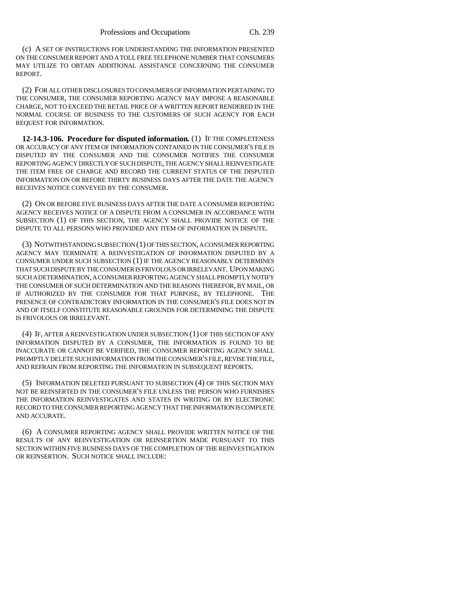(c) A SET OF INSTRUCTIONS FOR UNDERSTANDING THE INFORMATION PRESENTED ON THE CONSUMER REPORT AND A TOLL FREE TELEPHONE NUMBER THAT CONSUMERS MAY UTILIZE TO OBTAIN ADDITIONAL ASSISTANCE CONCERNING THE CONSUMER REPORT.

(2) FOR ALL OTHER DISCLOSURES TO CONSUMERS OF INFORMATION PERTAINING TO THE CONSUMER, THE CONSUMER REPORTING AGENCY MAY IMPOSE A REASONABLE CHARGE, NOT TO EXCEED THE RETAIL PRICE OF A WRITTEN REPORT RENDERED IN THE NORMAL COURSE OF BUSINESS TO THE CUSTOMERS OF SUCH AGENCY FOR EACH REQUEST FOR INFORMATION.

**12-14.3-106. Procedure for disputed information.** (1) IF THE COMPLETENESS OR ACCURACY OF ANY ITEM OF INFORMATION CONTAINED IN THE CONSUMER'S FILE IS DISPUTED BY THE CONSUMER AND THE CONSUMER NOTIFIES THE CONSUMER REPORTING AGENCY DIRECTLY OF SUCH DISPUTE, THE AGENCY SHALL REINVESTIGATE THE ITEM FREE OF CHARGE AND RECORD THE CURRENT STATUS OF THE DISPUTED INFORMATION ON OR BEFORE THIRTY BUSINESS DAYS AFTER THE DATE THE AGENCY RECEIVES NOTICE CONVEYED BY THE CONSUMER.

(2) ON OR BEFORE FIVE BUSINESS DAYS AFTER THE DATE A CONSUMER REPORTING AGENCY RECEIVES NOTICE OF A DISPUTE FROM A CONSUMER IN ACCORDANCE WITH SUBSECTION (1) OF THIS SECTION, THE AGENCY SHALL PROVIDE NOTICE OF THE DISPUTE TO ALL PERSONS WHO PROVIDED ANY ITEM OF INFORMATION IN DISPUTE.

(3) NOTWITHSTANDING SUBSECTION (1) OF THIS SECTION, A CONSUMER REPORTING AGENCY MAY TERMINATE A REINVESTIGATION OF INFORMATION DISPUTED BY A CONSUMER UNDER SUCH SUBSECTION (1) IF THE AGENCY REASONABLY DETERMINES THAT SUCH DISPUTE BY THE CONSUMER IS FRIVOLOUS OR IRRELEVANT. UPON MAKING SUCH A DETERMINATION, A CONSUMER REPORTING AGENCY SHALL PROMPTLY NOTIFY THE CONSUMER OF SUCH DETERMINATION AND THE REASONS THEREFOR, BY MAIL, OR IF AUTHORIZED BY THE CONSUMER FOR THAT PURPOSE, BY TELEPHONE. THE PRESENCE OF CONTRADICTORY INFORMATION IN THE CONSUMER'S FILE DOES NOT IN AND OF ITSELF CONSTITUTE REASONABLE GROUNDS FOR DETERMINING THE DISPUTE IS FRIVOLOUS OR IRRELEVANT.

(4) IF, AFTER A REINVESTIGATION UNDER SUBSECTION (1) OF THIS SECTION OF ANY INFORMATION DISPUTED BY A CONSUMER, THE INFORMATION IS FOUND TO BE INACCURATE OR CANNOT BE VERIFIED, THE CONSUMER REPORTING AGENCY SHALL PROMPTLY DELETE SUCH INFORMATION FROM THE CONSUMER'S FILE, REVISE THE FILE, AND REFRAIN FROM REPORTING THE INFORMATION IN SUBSEQUENT REPORTS.

(5) INFORMATION DELETED PURSUANT TO SUBSECTION (4) OF THIS SECTION MAY NOT BE REINSERTED IN THE CONSUMER'S FILE UNLESS THE PERSON WHO FURNISHES THE INFORMATION REINVESTIGATES AND STATES IN WRITING OR BY ELECTRONIC RECORD TO THE CONSUMER REPORTING AGENCY THAT THE INFORMATION IS COMPLETE AND ACCURATE.

(6) A CONSUMER REPORTING AGENCY SHALL PROVIDE WRITTEN NOTICE OF THE RESULTS OF ANY REINVESTIGATION OR REINSERTION MADE PURSUANT TO THIS SECTION WITHIN FIVE BUSINESS DAYS OF THE COMPLETION OF THE REINVESTIGATION OR REINSERTION. SUCH NOTICE SHALL INCLUDE: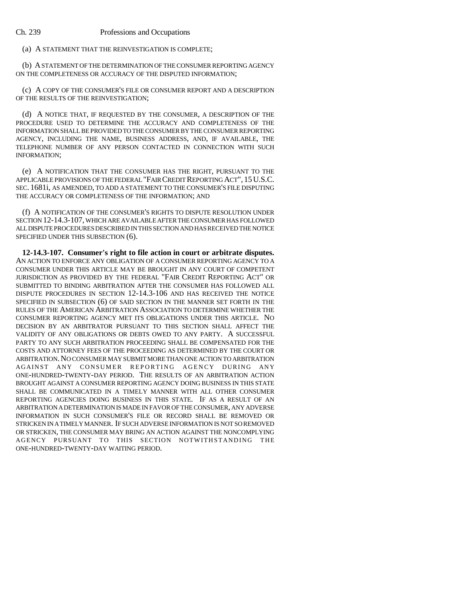(a) A STATEMENT THAT THE REINVESTIGATION IS COMPLETE;

(b) A STATEMENT OF THE DETERMINATION OF THE CONSUMER REPORTING AGENCY ON THE COMPLETENESS OR ACCURACY OF THE DISPUTED INFORMATION;

(c) A COPY OF THE CONSUMER'S FILE OR CONSUMER REPORT AND A DESCRIPTION OF THE RESULTS OF THE REINVESTIGATION;

(d) A NOTICE THAT, IF REQUESTED BY THE CONSUMER, A DESCRIPTION OF THE PROCEDURE USED TO DETERMINE THE ACCURACY AND COMPLETENESS OF THE INFORMATION SHALL BE PROVIDED TO THE CONSUMER BY THE CONSUMER REPORTING AGENCY, INCLUDING THE NAME, BUSINESS ADDRESS, AND, IF AVAILABLE, THE TELEPHONE NUMBER OF ANY PERSON CONTACTED IN CONNECTION WITH SUCH INFORMATION;

(e) A NOTIFICATION THAT THE CONSUMER HAS THE RIGHT, PURSUANT TO THE APPLICABLE PROVISIONS OF THE FEDERAL "FAIR CREDIT REPORTING ACT", 15U.S.C. SEC. 1681i, AS AMENDED, TO ADD A STATEMENT TO THE CONSUMER'S FILE DISPUTING THE ACCURACY OR COMPLETENESS OF THE INFORMATION; AND

(f) A NOTIFICATION OF THE CONSUMER'S RIGHTS TO DISPUTE RESOLUTION UNDER SECTION 12-14.3-107, WHICH ARE AVAILABLE AFTER THE CONSUMER HAS FOLLOWED ALL DISPUTE PROCEDURES DESCRIBED IN THIS SECTION AND HAS RECEIVED THE NOTICE SPECIFIED UNDER THIS SUBSECTION (6).

**12-14.3-107. Consumer's right to file action in court or arbitrate disputes.** AN ACTION TO ENFORCE ANY OBLIGATION OF A CONSUMER REPORTING AGENCY TO A CONSUMER UNDER THIS ARTICLE MAY BE BROUGHT IN ANY COURT OF COMPETENT JURISDICTION AS PROVIDED BY THE FEDERAL "FAIR CREDIT REPORTING ACT" OR SUBMITTED TO BINDING ARBITRATION AFTER THE CONSUMER HAS FOLLOWED ALL DISPUTE PROCEDURES IN SECTION 12-14.3-106 AND HAS RECEIVED THE NOTICE SPECIFIED IN SUBSECTION (6) OF SAID SECTION IN THE MANNER SET FORTH IN THE RULES OF THE AMERICAN ARBITRATION ASSOCIATION TO DETERMINE WHETHER THE CONSUMER REPORTING AGENCY MET ITS OBLIGATIONS UNDER THIS ARTICLE. NO DECISION BY AN ARBITRATOR PURSUANT TO THIS SECTION SHALL AFFECT THE VALIDITY OF ANY OBLIGATIONS OR DEBTS OWED TO ANY PARTY. A SUCCESSFUL PARTY TO ANY SUCH ARBITRATION PROCEEDING SHALL BE COMPENSATED FOR THE COSTS AND ATTORNEY FEES OF THE PROCEEDING AS DETERMINED BY THE COURT OR ARBITRATION.NO CONSUMER MAY SUBMIT MORE THAN ONE ACTION TO ARBITRATION AGAINST ANY CONSUMER REPORTING AGENCY DURING ANY ONE-HUNDRED-TWENTY-DAY PERIOD. THE RESULTS OF AN ARBITRATION ACTION BROUGHT AGAINST A CONSUMER REPORTING AGENCY DOING BUSINESS IN THIS STATE SHALL BE COMMUNICATED IN A TIMELY MANNER WITH ALL OTHER CONSUMER REPORTING AGENCIES DOING BUSINESS IN THIS STATE. IF AS A RESULT OF AN ARBITRATION A DETERMINATION IS MADE IN FAVOR OF THE CONSUMER, ANY ADVERSE INFORMATION IN SUCH CONSUMER'S FILE OR RECORD SHALL BE REMOVED OR STRICKEN IN A TIMELY MANNER. IF SUCH ADVERSE INFORMATION IS NOT SO REMOVED OR STRICKEN, THE CONSUMER MAY BRING AN ACTION AGAINST THE NONCOMPLYING AGENCY PURSUANT TO THIS SECTION NOTWITHSTANDING THE ONE-HUNDRED-TWENTY-DAY WAITING PERIOD.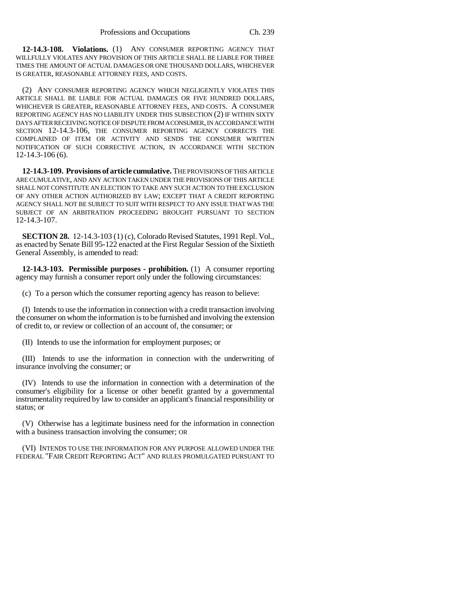**12-14.3-108. Violations.** (1) ANY CONSUMER REPORTING AGENCY THAT WILLFULLY VIOLATES ANY PROVISION OF THIS ARTICLE SHALL BE LIABLE FOR THREE TIMES THE AMOUNT OF ACTUAL DAMAGES OR ONE THOUSAND DOLLARS, WHICHEVER IS GREATER, REASONABLE ATTORNEY FEES, AND COSTS.

(2) ANY CONSUMER REPORTING AGENCY WHICH NEGLIGENTLY VIOLATES THIS ARTICLE SHALL BE LIABLE FOR ACTUAL DAMAGES OR FIVE HUNDRED DOLLARS, WHICHEVER IS GREATER, REASONABLE ATTORNEY FEES, AND COSTS. A CONSUMER REPORTING AGENCY HAS NO LIABILITY UNDER THIS SUBSECTION (2) IF WITHIN SIXTY DAYS AFTER RECEIVING NOTICE OF DISPUTE FROM A CONSUMER, IN ACCORDANCE WITH SECTION 12-14.3-106, THE CONSUMER REPORTING AGENCY CORRECTS THE COMPLAINED OF ITEM OR ACTIVITY AND SENDS THE CONSUMER WRITTEN NOTIFICATION OF SUCH CORRECTIVE ACTION, IN ACCORDANCE WITH SECTION 12-14.3-106 (6).

**12-14.3-109. Provisions of article cumulative.** THE PROVISIONS OF THIS ARTICLE ARE CUMULATIVE, AND ANY ACTION TAKEN UNDER THE PROVISIONS OF THIS ARTICLE SHALL NOT CONSTITUTE AN ELECTION TO TAKE ANY SUCH ACTION TO THE EXCLUSION OF ANY OTHER ACTION AUTHORIZED BY LAW; EXCEPT THAT A CREDIT REPORTING AGENCY SHALL NOT BE SUBJECT TO SUIT WITH RESPECT TO ANY ISSUE THAT WAS THE SUBJECT OF AN ARBITRATION PROCEEDING BROUGHT PURSUANT TO SECTION 12-14.3-107.

**SECTION 28.** 12-14.3-103 (1) (c), Colorado Revised Statutes, 1991 Repl. Vol., as enacted by Senate Bill 95-122 enacted at the First Regular Session of the Sixtieth General Assembly, is amended to read:

**12-14.3-103. Permissible purposes - prohibition.** (1) A consumer reporting agency may furnish a consumer report only under the following circumstances:

(c) To a person which the consumer reporting agency has reason to believe:

(I) Intends to use the information in connection with a credit transaction involving the consumer on whom the information is to be furnished and involving the extension of credit to, or review or collection of an account of, the consumer; or

(II) Intends to use the information for employment purposes; or

(III) Intends to use the information in connection with the underwriting of insurance involving the consumer; or

(IV) Intends to use the information in connection with a determination of the consumer's eligibility for a license or other benefit granted by a governmental instrumentality required by law to consider an applicant's financial responsibility or status; or

(V) Otherwise has a legitimate business need for the information in connection with a business transaction involving the consumer; OR

(VI) INTENDS TO USE THE INFORMATION FOR ANY PURPOSE ALLOWED UNDER THE FEDERAL "FAIR CREDIT REPORTING ACT" AND RULES PROMULGATED PURSUANT TO